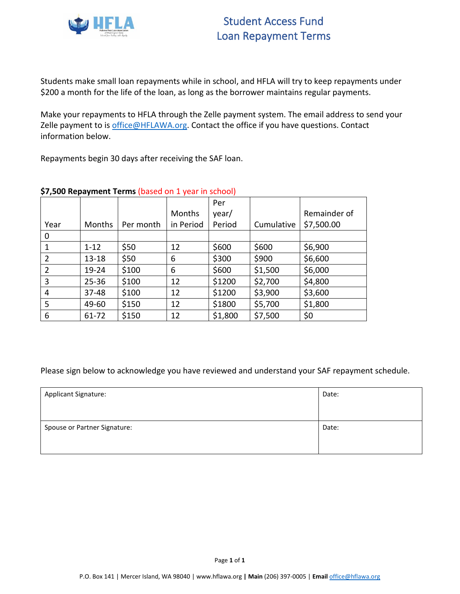

Students make small loan repayments while in school, and HFLA will try to keep repayments under \$200 a month for the life of the loan, as long as the borrower maintains regular payments.

Make your repayments to HFLA through the Zelle payment system. The email address to send your Zelle payment to is [office@HFLAWA.org.](mailto:office@HFLAWA.org) Contact the office if you have questions. Contact information below.

Repayments begin 30 days after receiving the SAF loan.

|                |           |           |           | Per     |            |              |
|----------------|-----------|-----------|-----------|---------|------------|--------------|
|                |           |           | Months    | year/   |            | Remainder of |
| Year           | Months    | Per month | in Period | Period  | Cumulative | \$7,500.00   |
| 0              |           |           |           |         |            |              |
|                | $1 - 12$  | \$50      | 12        | \$600   | \$600      | \$6,900      |
| $\overline{2}$ | $13 - 18$ | \$50      | 6         | \$300   | \$900      | \$6,600      |
| 2              | 19-24     | \$100     | 6         | \$600   | \$1,500    | \$6,000      |
| $\overline{3}$ | $25 - 36$ | \$100     | 12        | \$1200  | \$2,700    | \$4,800      |
| 4              | 37-48     | \$100     | 12        | \$1200  | \$3,900    | \$3,600      |
| 5              | 49-60     | \$150     | 12        | \$1800  | \$5,700    | \$1,800      |
| 6              | 61-72     | \$150     | 12        | \$1,800 | \$7,500    | \$0          |

## **\$7,500 Repayment Terms** (based on 1 year in school)

| <b>Applicant Signature:</b>  | Date: |
|------------------------------|-------|
| Spouse or Partner Signature: | Date: |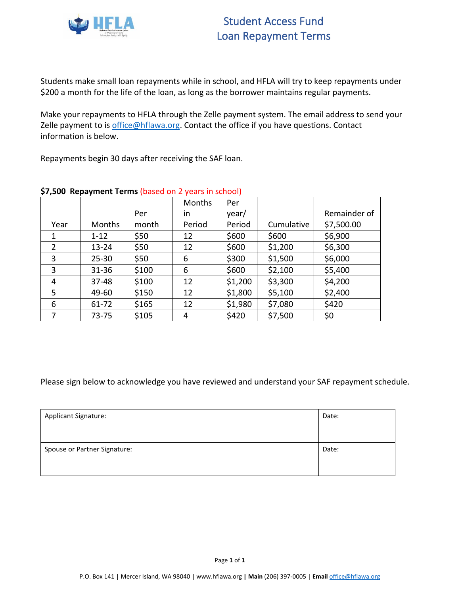

Students make small loan repayments while in school, and HFLA will try to keep repayments under \$200 a month for the life of the loan, as long as the borrower maintains regular payments.

Make your repayments to HFLA through the Zelle payment system. The email address to send your Zelle payment to is [office@hflawa.org.](mailto:office@HFLAWA.org) Contact the office if you have questions. Contact information is below.

Repayments begin 30 days after receiving the SAF loan.

|                |           |       | <b>Months</b> | Per     |            |              |
|----------------|-----------|-------|---------------|---------|------------|--------------|
|                |           | Per   | in            | year/   |            | Remainder of |
| Year           | Months    | month | Period        | Period  | Cumulative | \$7,500.00   |
| 1              | $1 - 12$  | \$50  | 12            | \$600   | \$600      | \$6,900      |
| $\overline{2}$ | $13 - 24$ | \$50  | 12            | \$600   | \$1,200    | \$6,300      |
| 3              | $25 - 30$ | \$50  | 6             | \$300   | \$1,500    | \$6,000      |
| 3              | 31-36     | \$100 | 6             | \$600   | \$2,100    | \$5,400      |
| 4              | $37 - 48$ | \$100 | 12            | \$1,200 | \$3,300    | \$4,200      |
| 5              | 49-60     | \$150 | 12            | \$1,800 | \$5,100    | \$2,400      |
| 6              | 61-72     | \$165 | 12            | \$1,980 | \$7,080    | \$420        |
| 7              | $73 - 75$ | \$105 | 4             | \$420   | \$7,500    | \$0          |

## **\$7,500 Repayment Terms** (based on 2 years in school)

| <b>Applicant Signature:</b>  | Date: |
|------------------------------|-------|
| Spouse or Partner Signature: | Date: |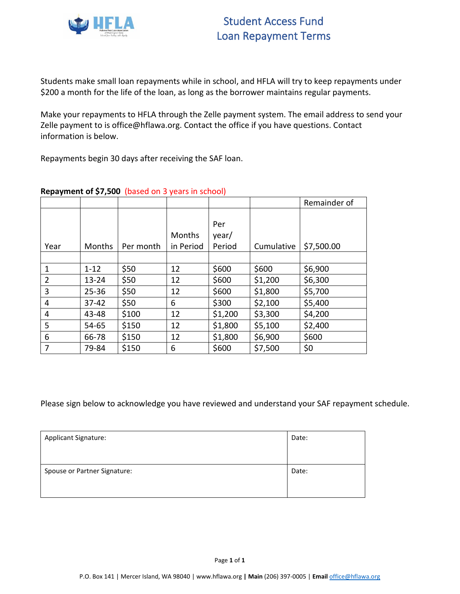

Students make small loan repayments while in school, and HFLA will try to keep repayments under \$200 a month for the life of the loan, as long as the borrower maintains regular payments.

Make your repayments to HFLA through the Zelle payment system. The email address to send your Zelle payment to is office@hflawa.org. Contact the office if you have questions. Contact information is below.

Repayments begin 30 days after receiving the SAF loan.

|      |           |           |                     |                        |            | Remainder of |
|------|-----------|-----------|---------------------|------------------------|------------|--------------|
| Year | Months    | Per month | Months<br>in Period | Per<br>year/<br>Period | Cumulative | \$7,500.00   |
|      |           |           |                     |                        |            |              |
| 1    | $1 - 12$  | \$50      | 12                  | \$600                  | \$600      | \$6,900      |
| 2    | $13 - 24$ | \$50      | 12                  | \$600                  | \$1,200    | \$6,300      |
| 3    | $25 - 36$ | \$50      | 12                  | \$600                  | \$1,800    | \$5,700      |
| 4    | $37 - 42$ | \$50      | 6                   | \$300                  | \$2,100    | \$5,400      |
| 4    | 43-48     | \$100     | 12                  | \$1,200                | \$3,300    | \$4,200      |
| 5    | 54-65     | \$150     | 12                  | \$1,800                | \$5,100    | \$2,400      |
| 6    | 66-78     | \$150     | 12                  | \$1,800                | \$6,900    | \$600        |
| 7    | 79-84     | \$150     | 6                   | \$600                  | \$7,500    | \$0          |

# **Repayment of \$7,500** (based on 3 years in school)

| <b>Applicant Signature:</b>  | Date: |
|------------------------------|-------|
| Spouse or Partner Signature: | Date: |